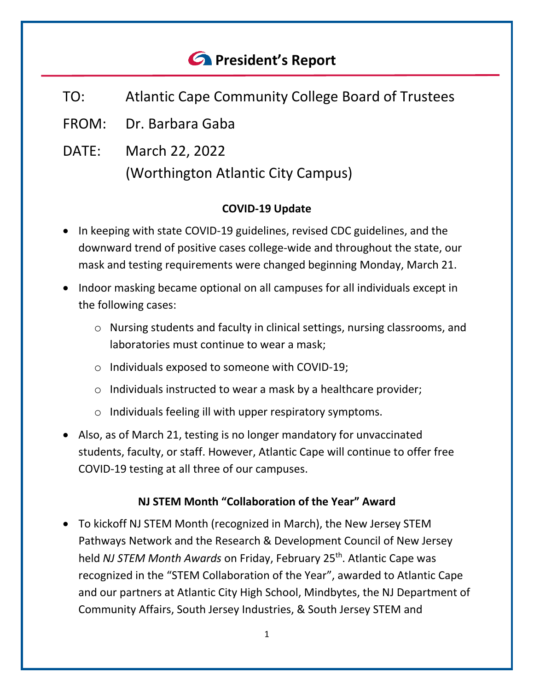# *<u>C* President's Report</u>

- TO: Atlantic Cape Community College Board of Trustees
- FROM: Dr. Barbara Gaba
- DATE: March 22, 2022 (Worthington Atlantic City Campus)

### **COVID-19 Update**

- In keeping with state COVID-19 guidelines, revised CDC guidelines, and the downward trend of positive cases college-wide and throughout the state, our mask and testing requirements were changed beginning Monday, March 21.
- Indoor masking became optional on all campuses for all individuals except in the following cases:
	- o Nursing students and faculty in clinical settings, nursing classrooms, and laboratories must continue to wear a mask;
	- o Individuals exposed to someone with COVID-19;
	- o Individuals instructed to wear a mask by a healthcare provider;
	- o Individuals feeling ill with upper respiratory symptoms.
- Also, as of March 21, testing is no longer mandatory for unvaccinated students, faculty, or staff. However, Atlantic Cape will continue to offer free COVID-19 testing at all three of our campuses.

# **NJ STEM Month "Collaboration of the Year" Award**

• To kickoff NJ STEM Month (recognized in March), the New Jersey STEM Pathways Network and the Research & Development Council of New Jersey held *NJ STEM Month Awards* on Friday, February 25th. Atlantic Cape was recognized in the "STEM Collaboration of the Year", awarded to Atlantic Cape and our partners at Atlantic City High School, Mindbytes, the NJ Department of Community Affairs, South Jersey Industries, & South Jersey STEM and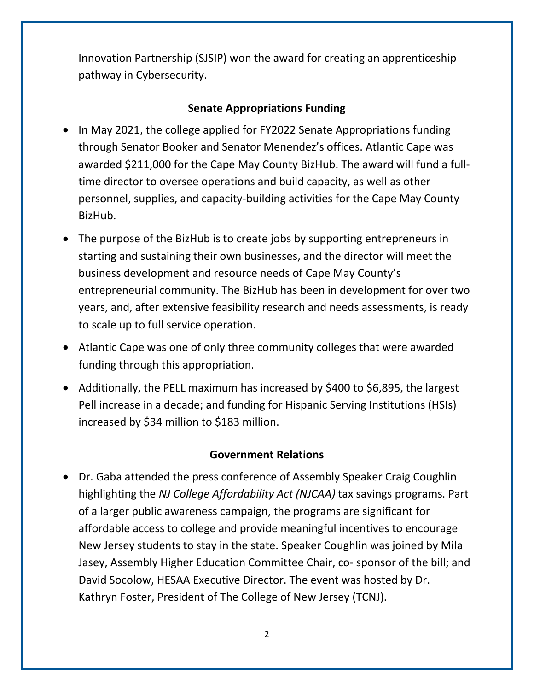Innovation Partnership (SJSIP) won the award for creating an apprenticeship pathway in Cybersecurity.

# **Senate Appropriations Funding**

- In May 2021, the college applied for FY2022 Senate Appropriations funding through Senator Booker and Senator Menendez's offices. Atlantic Cape was awarded \$211,000 for the Cape May County BizHub. The award will fund a fulltime director to oversee operations and build capacity, as well as other personnel, supplies, and capacity-building activities for the Cape May County BizHub.
- The purpose of the BizHub is to create jobs by supporting entrepreneurs in starting and sustaining their own businesses, and the director will meet the business development and resource needs of Cape May County's entrepreneurial community. The BizHub has been in development for over two years, and, after extensive feasibility research and needs assessments, is ready to scale up to full service operation.
- Atlantic Cape was one of only three community colleges that were awarded funding through this appropriation.
- Additionally, the PELL maximum has increased by \$400 to \$6,895, the largest Pell increase in a decade; and funding for Hispanic Serving Institutions (HSIs) increased by \$34 million to \$183 million.

# **Government Relations**

• Dr. Gaba attended the press conference of Assembly Speaker Craig Coughlin highlighting the *NJ College Affordability Act (NJCAA)* tax savings programs. Part of a larger public awareness campaign, the programs are significant for affordable access to college and provide meaningful incentives to encourage New Jersey students to stay in the state. Speaker Coughlin was joined by Mila Jasey, Assembly Higher Education Committee Chair, co- sponsor of the bill; and David Socolow, HESAA Executive Director. The event was hosted by Dr. Kathryn Foster, President of The College of New Jersey (TCNJ).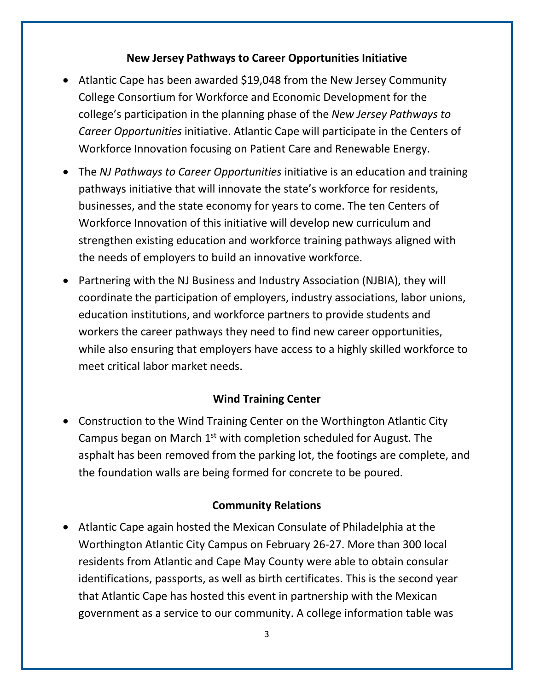#### **New Jersey Pathways to Career Opportunities Initiative**

- Atlantic Cape has been awarded \$19,048 from the New Jersey Community College Consortium for Workforce and Economic Development for the college's participation in the planning phase of the *New Jersey Pathways to Career Opportunities* initiative. Atlantic Cape will participate in the Centers of Workforce Innovation focusing on Patient Care and Renewable Energy.
- The *NJ Pathways to Career Opportunities* initiative is an education and training pathways initiative that will innovate the state's workforce for residents, businesses, and the state economy for years to come. The ten Centers of Workforce Innovation of this initiative will develop new curriculum and strengthen existing education and workforce training pathways aligned with the needs of employers to build an innovative workforce.
- Partnering with the NJ Business and Industry Association (NJBIA), they will coordinate the participation of employers, industry associations, labor unions, education institutions, and workforce partners to provide students and workers the career pathways they need to find new career opportunities, while also ensuring that employers have access to a highly skilled workforce to meet critical labor market needs.

# **Wind Training Center**

• Construction to the Wind Training Center on the Worthington Atlantic City Campus began on March  $1<sup>st</sup>$  with completion scheduled for August. The asphalt has been removed from the parking lot, the footings are complete, and the foundation walls are being formed for concrete to be poured.

#### **Community Relations**

• Atlantic Cape again hosted the Mexican Consulate of Philadelphia at the Worthington Atlantic City Campus on February 26-27. More than 300 local residents from Atlantic and Cape May County were able to obtain consular identifications, passports, as well as birth certificates. This is the second year that Atlantic Cape has hosted this event in partnership with the Mexican government as a service to our community. A college information table was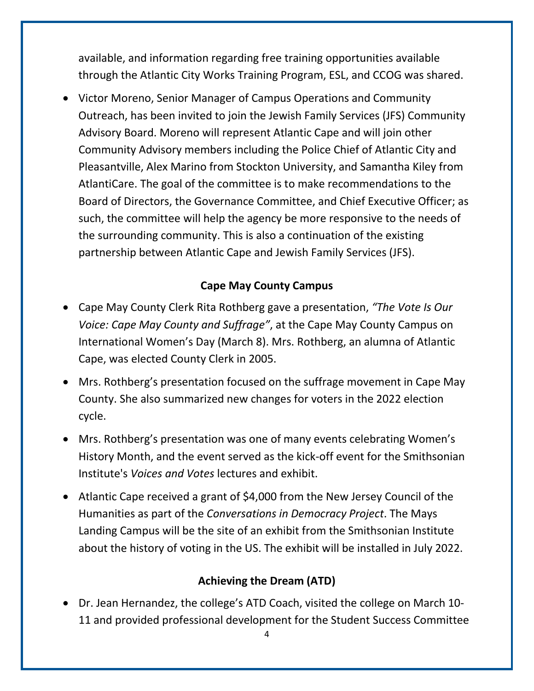available, and information regarding free training opportunities available through the Atlantic City Works Training Program, ESL, and CCOG was shared.

• Victor Moreno, Senior Manager of Campus Operations and Community Outreach, has been invited to join the Jewish Family Services (JFS) Community Advisory Board. Moreno will represent Atlantic Cape and will join other Community Advisory members including the Police Chief of Atlantic City and Pleasantville, Alex Marino from Stockton University, and Samantha Kiley from AtlantiCare. The goal of the committee is to make recommendations to the Board of Directors, the Governance Committee, and Chief Executive Officer; as such, the committee will help the agency be more responsive to the needs of the surrounding community. This is also a continuation of the existing partnership between Atlantic Cape and Jewish Family Services (JFS).

#### **Cape May County Campus**

- Cape May County Clerk Rita Rothberg gave a presentation, *"The Vote Is Our Voice: Cape May County and Suffrage"*, at the Cape May County Campus on International Women's Day (March 8). Mrs. Rothberg, an alumna of Atlantic Cape, was elected County Clerk in 2005.
- Mrs. Rothberg's presentation focused on the suffrage movement in Cape May County. She also summarized new changes for voters in the 2022 election cycle.
- Mrs. Rothberg's presentation was one of many events celebrating Women's History Month, and the event served as the kick-off event for the Smithsonian Institute's *Voices and Votes* lectures and exhibit.
- Atlantic Cape received a grant of \$4,000 from the New Jersey Council of the Humanities as part of the *Conversations in Democracy Project*. The Mays Landing Campus will be the site of an exhibit from the Smithsonian Institute about the history of voting in the US. The exhibit will be installed in July 2022.

#### **Achieving the Dream (ATD)**

• Dr. Jean Hernandez, the college's ATD Coach, visited the college on March 10- 11 and provided professional development for the Student Success Committee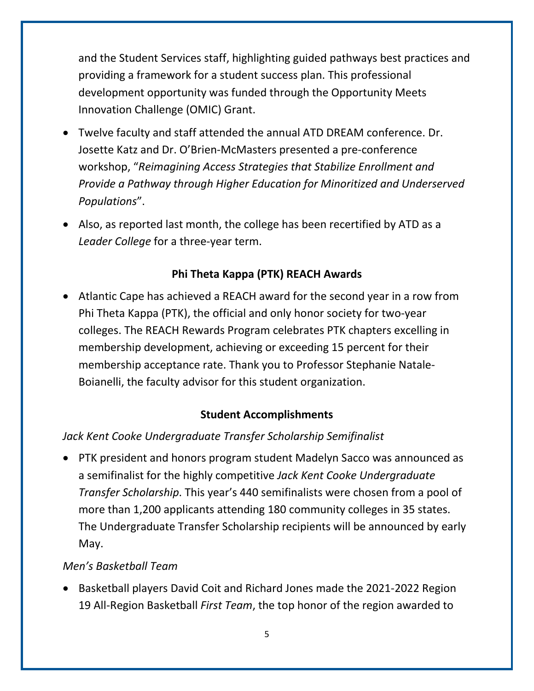and the Student Services staff, highlighting guided pathways best practices and providing a framework for a student success plan. This professional development opportunity was funded through the Opportunity Meets Innovation Challenge (OMIC) Grant.

- Twelve faculty and staff attended the annual ATD DREAM conference. Dr. Josette Katz and Dr. O'Brien-McMasters presented a pre-conference workshop, "*Reimagining Access Strategies that Stabilize Enrollment and Provide a Pathway through Higher Education for Minoritized and Underserved Populations*".
- Also, as reported last month, the college has been recertified by ATD as a *Leader College* for a three-year term.

# **Phi Theta Kappa (PTK) REACH Awards**

• Atlantic Cape has achieved a REACH award for the second year in a row from Phi Theta Kappa (PTK), the official and only honor society for two-year colleges. The REACH Rewards Program celebrates PTK chapters excelling in membership development, achieving or exceeding 15 percent for their membership acceptance rate. Thank you to Professor Stephanie Natale-Boianelli, the faculty advisor for this student organization.

# **Student Accomplishments**

# *Jack Kent Cooke Undergraduate Transfer Scholarship Semifinalist*

• PTK president and honors program student Madelyn Sacco was announced as a semifinalist for the highly competitive *Jack Kent Cooke Undergraduate Transfer Scholarship*. This year's 440 semifinalists were chosen from a pool of more than 1,200 applicants attending 180 community colleges in 35 states. The Undergraduate Transfer Scholarship recipients will be announced by early May.

# *Men's Basketball Team*

• Basketball players David Coit and Richard Jones made the 2021-2022 Region 19 All-Region Basketball *First Team*, the top honor of the region awarded to